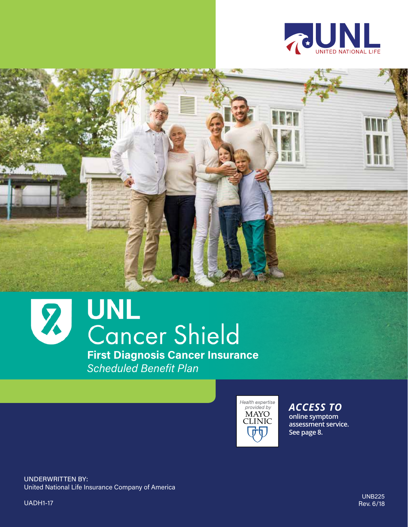



# **First Diagnosis Cancer Insurance**

*Scheduled Benefit Plan*



*ACCESS TO* **online symptom assessment service. See page 8.**

UNDERWRITTEN BY: United National Life Insurance Company of America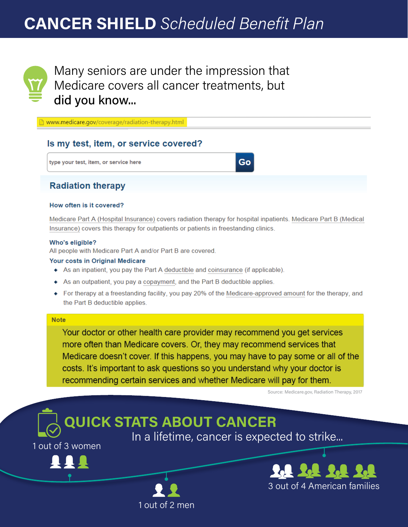# **CANCER SHIELD** *Scheduled Benefit Plan*



Many seniors are under the impression that Medicare covers all cancer treatments, but did you know...

www.medicare.gov/coverage/radiation-therapy.html

#### Is my test, item, or service covered?

type your test, item, or service here

#### **Radiation therapy**

#### How often is it covered?

Medicare Part A (Hospital Insurance) covers radiation therapy for hospital inpatients. Medicare Part B (Medical Insurance) covers this therapy for outpatients or patients in freestanding clinics.

Go

#### Who's eligible?

All people with Medicare Part A and/or Part B are covered.

#### Your costs in Original Medicare

- As an inpatient, you pay the Part A deductible and coinsurance (if applicable).
- As an outpatient, you pay a copayment, and the Part B deductible applies.
- For therapy at a freestanding facility, you pay 20% of the Medicare-approved amount for the therapy, and the Part B deductible applies.

#### **Note**

Your doctor or other health care provider may recommend you get services more often than Medicare covers. Or, they may recommend services that Medicare doesn't cover. If this happens, you may have to pay some or all of the costs. It's important to ask questions so you understand why your doctor is recommending certain services and whether Medicare will pay for them.

Source: Medicare.gov, Radiation Therapy, 2017



1 out of 2 men

In a lifetime, cancer is expected to strike...



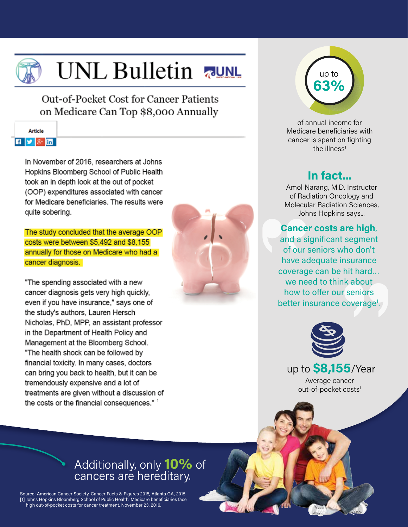

# UNL Bulletin

Out-of-Pocket Cost for Cancer Patients on Medicare Can Top \$8,000 Annually

|  | <b>Article</b> |   |
|--|----------------|---|
|  |                | m |

In November of 2016, researchers at Johns Hopkins Bloomberg School of Public Health took an in depth look at the out of pocket (OOP) expenditures associated with cancer for Medicare beneficiaries. The results were quite sobering.

The study concluded that the average OOP costs were between \$5,492 and \$8,155 annually for those on Medicare who had a cancer diagnosis.

"The spending associated with a new cancer diagnosis gets very high quickly, even if you have insurance," says one of the study's authors, Lauren Hersch Nicholas, PhD, MPP, an assistant professor in the Department of Health Policy and Management at the Bloomberg School. "The health shock can be followed by financial toxicity. In many cases, doctors can bring you back to health, but it can be tremendously expensive and a lot of treatments are given without a discussion of the costs or the financial consequences." 1



up to **63%**

of annual income for Medicare beneficiaries with cancer is spent on fighting the illness $1$ 

### **In fact...**

Amol Narang, M.D. Instructor of Radiation Oncology and Molecular Radiation Sciences, Johns Hopkins says...

nit hard...<br>k about<br>seniors<br>coverage!<br>)<br>} Cance<br>
and a s<br>
of our **Cancer costs are high**, and a significant segment of our seniors who don't have adequate insurance coverage can be hit hard… we need to think about how to offer our seniors better insurance coverage<sup>1</sup>.



up to **\$8,155**/Year Average cancer out-of-pocket costs<sup>1</sup>

## Additionally, only **10%** of cancers are hereditary.

Source: American Cancer Society, Cancer Facts & Figures 2015, Atlanta GA, 2015 [1] Johns Hopkins Bloomberg School of Public Health. Medicare beneficiaries face high out-of-pocket costs for cancer treatment. November 23, 2016.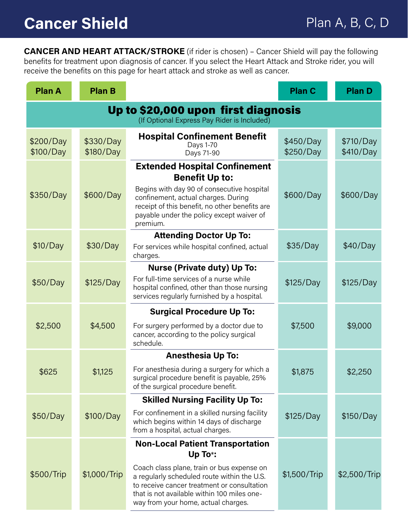**CANCER AND HEART ATTACK/STROKE** (if rider is chosen) – Cancer Shield will pay the following benefits for treatment upon diagnosis of cancer. If you select the Heart Attack and Stroke rider, you will receive the benefits on this page for heart attack and stroke as well as cancer.

| <b>Plan A</b>                                                                      | <b>Plan B</b>          |                                                                                                                                                                                                                                                                                      | <b>Plan C</b>          | <b>Plan D</b>          |
|------------------------------------------------------------------------------------|------------------------|--------------------------------------------------------------------------------------------------------------------------------------------------------------------------------------------------------------------------------------------------------------------------------------|------------------------|------------------------|
| Up to \$20,000 upon first diagnosis<br>(If Optional Express Pay Rider is Included) |                        |                                                                                                                                                                                                                                                                                      |                        |                        |
| \$200/Day<br>\$100/Day                                                             | \$330/Day<br>\$180/Day | <b>Hospital Confinement Benefit</b><br>Days 1-70<br>Days 71-90                                                                                                                                                                                                                       | \$450/Day<br>\$250/Day | \$710/Day<br>\$410/Day |
| \$350/Day                                                                          | \$600/Day              | <b>Extended Hospital Confinement</b><br><b>Benefit Up to:</b><br>Begins with day 90 of consecutive hospital<br>confinement, actual charges. During<br>receipt of this benefit, no other benefits are<br>payable under the policy except waiver of<br>premium.                        | \$600/Day              | \$600/Day              |
| \$10/Day                                                                           | \$30/Day               | <b>Attending Doctor Up To:</b><br>For services while hospital confined, actual<br>charges.                                                                                                                                                                                           | \$35/Day               | \$40/Day               |
| \$50/Day                                                                           | \$125/Day              | <b>Nurse (Private duty) Up To:</b><br>For full-time services of a nurse while<br>hospital confined, other than those nursing<br>services regularly furnished by a hospital.                                                                                                          | \$125/Day              | \$125/Day              |
| \$2,500                                                                            | \$4,500                | <b>Surgical Procedure Up To:</b><br>For surgery performed by a doctor due to<br>cancer, according to the policy surgical<br>schedule.                                                                                                                                                | \$7,500                | \$9,000                |
| \$625                                                                              | \$1,125                | <b>Anesthesia Up To:</b><br>For anesthesia during a surgery for which a<br>surgical procedure benefit is payable, 25%<br>of the surgical procedure benefit.                                                                                                                          | \$1,875                | \$2,250                |
| \$50/Day                                                                           | \$100/Day              | <b>Skilled Nursing Facility Up To:</b><br>For confinement in a skilled nursing facility<br>which begins within 14 days of discharge<br>from a hospital, actual charges.                                                                                                              | \$125/Day              | \$150/Day              |
| \$500/Trip                                                                         | \$1,000/Trip           | <b>Non-Local Patient Transportation</b><br>Up To*:<br>Coach class plane, train or bus expense on<br>a regularly scheduled route within the U.S.<br>to receive cancer treatment or consultation<br>that is not available within 100 miles one-<br>way from your home, actual charges. | \$1,500/Trip           | \$2,500/Trip           |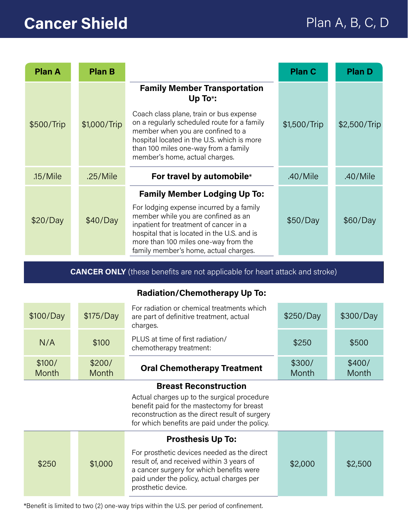# **Cancer Shield** Plan A, B, C, D

| <b>Plan A</b> | <b>Plan B</b> |                                                                                                                                                                                                                                                           | <b>Plan C</b> | <b>Plan D</b> |
|---------------|---------------|-----------------------------------------------------------------------------------------------------------------------------------------------------------------------------------------------------------------------------------------------------------|---------------|---------------|
|               |               | <b>Family Member Transportation</b><br>Up To*:                                                                                                                                                                                                            |               |               |
| \$500/Trip    | \$1,000/Trip  | Coach class plane, train or bus expense<br>on a regularly scheduled route for a family<br>member when you are confined to a<br>hospital located in the U.S. which is more<br>than 100 miles one-way from a family<br>member's home, actual charges.       | \$1,500/Trip  | \$2,500/Trip  |
| $.15$ /Mile   | .25/Mile      | For travel by automobile*                                                                                                                                                                                                                                 | $.40$ /Mile   | $.40$ /Mile   |
|               |               | <b>Family Member Lodging Up To:</b>                                                                                                                                                                                                                       |               |               |
| \$20/Day      | \$40/Day      | For lodging expense incurred by a family<br>member while you are confined as an<br>inpatient for treatment of cancer in a<br>hospital that is located in the U.S. and is<br>more than 100 miles one-way from the<br>family member's home, actual charges. | \$50/Day      | \$60/Day      |

**CANCER ONLY** (these benefits are not applicable for heart attack and stroke)

#### **Radiation/Chemotherapy Up To:**

| \$100/Day              | \$175/Day       | For radiation or chemical treatments which<br>are part of definitive treatment, actual<br>charges. | \$250/Day       | \$300/Day       |
|------------------------|-----------------|----------------------------------------------------------------------------------------------------|-----------------|-----------------|
| N/A                    | \$100           | PLUS at time of first radiation/<br>chemotherapy treatment:                                        | \$250           | \$500           |
| \$100/<br><b>Month</b> | \$200/<br>Month | <b>Oral Chemotherapy Treatment</b>                                                                 | \$300/<br>Month | \$400/<br>Month |

#### **Breast Reconstruction**

Actual charges up to the surgical procedure benefit paid for the mastectomy for breast reconstruction as the direct result of surgery for which benefits are paid under the policy.

|       |         | <b>Prosthesis Up To:</b>                                                                                                                                                                                |         |         |
|-------|---------|---------------------------------------------------------------------------------------------------------------------------------------------------------------------------------------------------------|---------|---------|
| \$250 | \$1,000 | For prosthetic devices needed as the direct<br>result of, and received within 3 years of<br>a cancer surgery for which benefits were<br>paid under the policy, actual charges per<br>prosthetic device. | \$2,000 | \$2,500 |

\*Benefit is limited to two (2) one-way trips within the U.S. per period of confinement.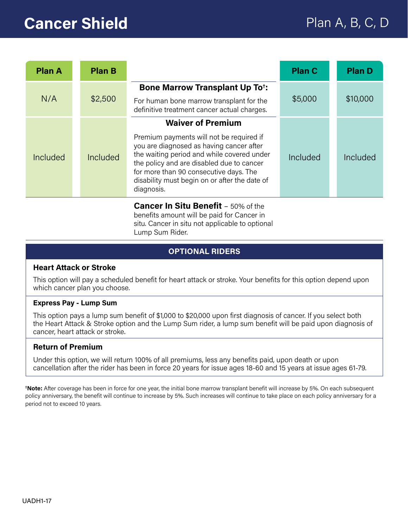# **Cancer Shield Plan A, B, C, D**

| <b>Plan A</b> | <b>Plan B</b> |                                                                                                                                                                                                                                                                                                                      | <b>Plan C</b> | <b>Plan D</b> |
|---------------|---------------|----------------------------------------------------------------------------------------------------------------------------------------------------------------------------------------------------------------------------------------------------------------------------------------------------------------------|---------------|---------------|
| N/A           | \$2,500       | <b>Bone Marrow Transplant Up To<sup>+</sup>:</b><br>For human bone marrow transplant for the<br>definitive treatment cancer actual charges.                                                                                                                                                                          | \$5,000       | \$10,000      |
| Included      | Included      | <b>Waiver of Premium</b><br>Premium payments will not be required if<br>you are diagnosed as having cancer after<br>the waiting period and while covered under<br>the policy and are disabled due to cancer<br>for more than 90 consecutive days. The<br>disability must begin on or after the date of<br>diagnosis. | Included      | Included      |
|               |               | <b>Cancer In Situ Benefit - 50% of the</b>                                                                                                                                                                                                                                                                           |               |               |

benefits amount will be paid for Cancer in situ. Cancer in situ not applicable to optional Lump Sum Rider.

#### **OPTIONAL RIDERS**

#### **Heart Attack or Stroke**

This option will pay a scheduled benefit for heart attack or stroke. Your benefits for this option depend upon which cancer plan you choose.

#### **Express Pay - Lump Sum**

This option pays a lump sum benefit of \$1,000 to \$20,000 upon first diagnosis of cancer. If you select both the Heart Attack & Stroke option and the Lump Sum rider, a lump sum benefit will be paid upon diagnosis of cancer, heart attack or stroke.

#### **Return of Premium**

Under this option, we will return 100% of all premiums, less any benefits paid, upon death or upon cancellation after the rider has been in force 20 years for issue ages 18-60 and 15 years at issue ages 61-79.

**† Note:** After coverage has been in force for one year, the initial bone marrow transplant benefit will increase by 5%. On each subsequent policy anniversary, the benefit will continue to increase by 5%. Such increases will continue to take place on each policy anniversary for a period not to exceed 10 years.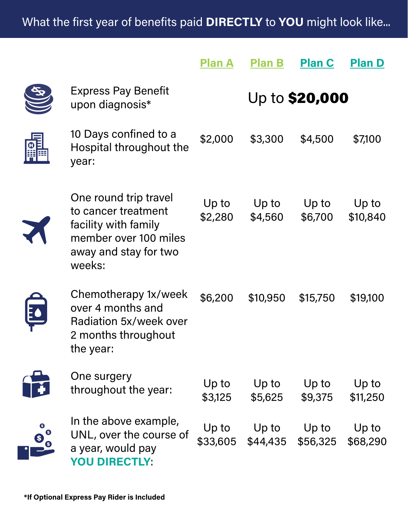# What the first year of benefits paid **DIRECTLY** to **YOU** might look like...

|   |                                                                                                                                  | <b>Plan A</b>     | <b>Plan B</b>     | <b>Plan C</b>     | <b>Plan D</b>     |
|---|----------------------------------------------------------------------------------------------------------------------------------|-------------------|-------------------|-------------------|-------------------|
|   | Express Pay Benefit<br>upon diagnosis*                                                                                           |                   |                   | Up to \$20,000    |                   |
| 鼺 | 10 Days confined to a<br>Hospital throughout the<br>year:                                                                        | \$2,000           | \$3,300           | \$4,500           | \$7,100           |
|   | One round trip travel<br>to cancer treatment<br>facility with family<br>member over 100 miles<br>away and stay for two<br>weeks: | Up to<br>\$2,280  | Up to<br>\$4,560  | Up to<br>\$6,700  | Up to<br>\$10,840 |
|   | Chemotherapy 1x/week<br>over 4 months and<br>Radiation 5x/week over<br>2 months throughout<br>the year:                          | \$6,200           | \$10,950          | \$15,750          | \$19,100          |
|   | One surgery<br>throughout the year:                                                                                              | Up to<br>\$3,125  | Up to<br>\$5,625  | Up to<br>\$9,375  | Up to<br>\$11,250 |
|   | In the above example,<br>UNL, over the course of<br>a year, would pay<br><b>YOU DIRECTLY:</b>                                    | Up to<br>\$33,605 | Up to<br>\$44,435 | Up to<br>\$56,325 | Up to<br>\$68,290 |